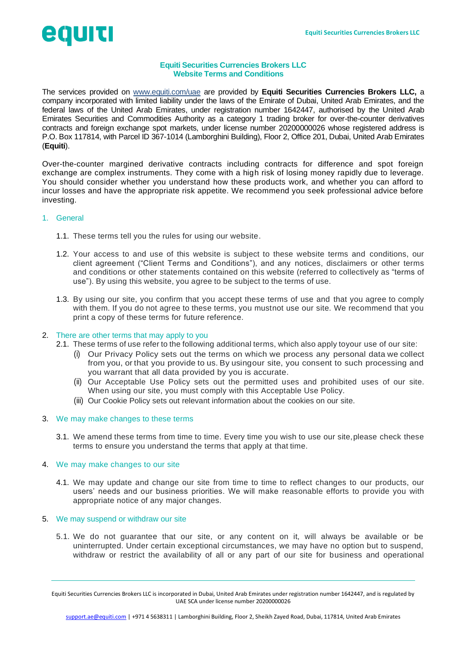# eguiti

# **Equiti Securities Currencies Brokers LLC Website Terms and Conditions**

The services provided on [www.equiti.com/uae](http://www.equiti.com/uae) are provided by **Equiti Securities Currencies Brokers LLC,** a company incorporated with limited liability under the laws of the Emirate of Dubai, United Arab Emirates, and the federal laws of the United Arab Emirates, under registration number 1642447, authorised by the United Arab Emirates Securities and Commodities Authority as a category 1 trading broker for over-the-counter derivatives contracts and foreign exchange spot markets, under license number 20200000026 whose registered address is P.O. Box 117814, with Parcel ID 367-1014 (Lamborghini Building), Floor 2, Office 201, Dubai, United Arab Emirates (**Equiti**).

Over-the-counter margined derivative contracts including contracts for difference and spot foreign exchange are complex instruments. They come with a high risk of losing money rapidly due to leverage. You should consider whether you understand how these products work, and whether you can afford to incur losses and have the appropriate risk appetite. We recommend you seek professional advice before investing.

# 1. General

- 1.1. These terms tell you the rules for using our website.
- 1.2. Your access to and use of this website is subject to these website terms and conditions, our client agreement ("Client Terms and Conditions"), and any notices, disclaimers or other terms and conditions or other statements contained on this website (referred to collectively as "terms of use"). By using this website, you agree to be subject to the terms of use.
- 1.3. By using our site, you confirm that you accept these terms of use and that you agree to comply with them. If you do not agree to these terms, you mustnot use our site. We recommend that you print a copy of these terms for future reference.

# 2. There are other terms that may apply to you

- 2.1. These terms of use refer to the following additional terms, which also apply toyour use of our site:
	- (i) Our Privacy Policy sets out the terms on which we process any personal data we collect from you, or that you provide to us. By usingour site, you consent to such processing and you warrant that all data provided by you is accurate.
	- (ii) Our Acceptable Use Policy sets out the permitted uses and prohibited uses of our site. When using our site, you must comply with this Acceptable Use Policy.
	- (iii) Our Cookie Policy sets out relevant information about the cookies on our site.

## 3. We may make changes to these terms

3.1. We amend these terms from time to time. Every time you wish to use our site,please check these terms to ensure you understand the terms that apply at that time.

## 4. We may make changes to our site

4.1. We may update and change our site from time to time to reflect changes to our products, our users' needs and our business priorities. We will make reasonable efforts to provide you with appropriate notice of any major changes.

## 5. We may suspend or withdraw our site

5.1. We do not guarantee that our site, or any content on it, will always be available or be uninterrupted. Under certain exceptional circumstances, we may have no option but to suspend, withdraw or restrict the availability of all or any part of our site for business and operational

Equiti Securities Currencies Brokers LLC is incorporated in Dubai, United Arab Emirates under registration number 1642447, and is regulated by UAE SCA under license number 20200000026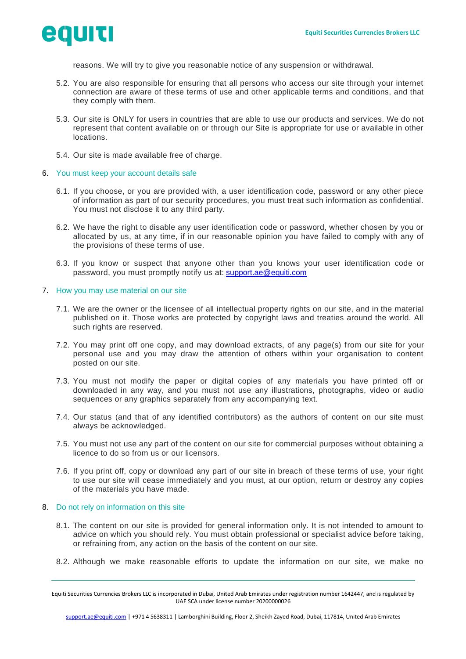

reasons. We will try to give you reasonable notice of any suspension or withdrawal.

- 5.2. You are also responsible for ensuring that all persons who access our site through your internet connection are aware of these terms of use and other applicable terms and conditions, and that they comply with them.
- 5.3. Our site is ONLY for users in countries that are able to use our products and services. We do not represent that content available on or through our Site is appropriate for use or available in other locations.
- 5.4. Our site is made available free of charge.
- 6. You must keep your account details safe
	- 6.1. If you choose, or you are provided with, a user identification code, password or any other piece of information as part of our security procedures, you must treat such information as confidential. You must not disclose it to any third party.
	- 6.2. We have the right to disable any user identification code or password, whether chosen by you or allocated by us, at any time, if in our reasonable opinion you have failed to comply with any of the provisions of these terms of use.
	- 6.3. If you know or suspect that anyone other than you knows your user identification code or password, you must promptly notify us at: [support.ae@equiti.com](mailto:support.ae@equiti.com)

#### 7. How you may use material on our site

- 7.1. We are the owner or the licensee of all intellectual property rights on our site, and in the material published on it. Those works are protected by copyright laws and treaties around the world. All such rights are reserved.
- 7.2. You may print off one copy, and may download extracts, of any page(s) from our site for your personal use and you may draw the attention of others within your organisation to content posted on our site.
- 7.3. You must not modify the paper or digital copies of any materials you have printed off or downloaded in any way, and you must not use any illustrations, photographs, video or audio sequences or any graphics separately from any accompanying text.
- 7.4. Our status (and that of any identified contributors) as the authors of content on our site must always be acknowledged.
- 7.5. You must not use any part of the content on our site for commercial purposes without obtaining a licence to do so from us or our licensors.
- 7.6. If you print off, copy or download any part of our site in breach of these terms of use, your right to use our site will cease immediately and you must, at our option, return or destroy any copies of the materials you have made.

## 8. Do not rely on information on this site

- 8.1. The content on our site is provided for general information only. It is not intended to amount to advice on which you should rely. You must obtain professional or specialist advice before taking, or refraining from, any action on the basis of the content on our site.
- 8.2. Although we make reasonable efforts to update the information on our site, we make no

Equiti Securities Currencies Brokers LLC is incorporated in Dubai, United Arab Emirates under registration number 1642447, and is regulated by UAE SCA under license number 20200000026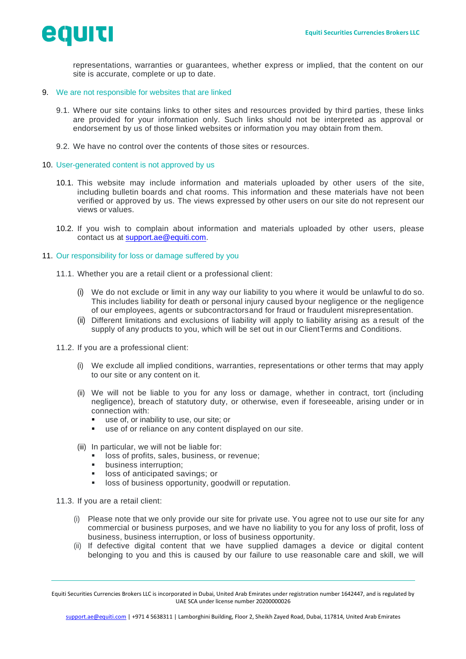

representations, warranties or guarantees, whether express or implied, that the content on our site is accurate, complete or up to date.

## 9. We are not responsible for websites that are linked

- 9.1. Where our site contains links to other sites and resources provided by third parties, these links are provided for your information only. Such links should not be interpreted as approval or endorsement by us of those linked websites or information you may obtain from them.
- 9.2. We have no control over the contents of those sites or resources.
- 10. User-generated content is not approved by us
	- 10.1. This website may include information and materials uploaded by other users of the site, including bulletin boards and chat rooms. This information and these materials have not been verified or approved by us. The views expressed by other users on our site do not represent our views or values.
	- 10.2. If you wish to complain about information and materials uploaded by other users, please contact us at [support.ae@equiti.com.](mailto:support.ae@equiti.com)

## 11. Our responsibility for loss or damage suffered by you

- 11.1. Whether you are a retail client or a professional client:
	- (i) We do not exclude or limit in any way our liability to you where it would be unlawful to do so. This includes liability for death or personal injury caused byour negligence or the negligence of our employees, agents or subcontractorsand for fraud or fraudulent misrepresentation.
	- (ii) Different limitations and exclusions of liability will apply to liability arising as a result of the supply of any products to you, which will be set out in our ClientTerms and Conditions.
- 11.2. If you are a professional client:
	- (i) We exclude all implied conditions, warranties, representations or other terms that may apply to our site or any content on it.
	- (ii) We will not be liable to you for any loss or damage, whether in contract, tort (including negligence), breach of statutory duty, or otherwise, even if foreseeable, arising under or in connection with:
		- use of, or inability to use, our site; or
		- use of or reliance on any content displayed on our site.
	- (iii) In particular, we will not be liable for:
		- loss of profits, sales, business, or revenue;
		- **■** business interruption;
		- loss of anticipated savings; or
		- loss of business opportunity, goodwill or reputation.

11.3. If you are a retail client:

- (i) Please note that we only provide our site for private use. You agree not to use our site for any commercial or business purposes, and we have no liability to you for any loss of profit, loss of business, business interruption, or loss of business opportunity.
- (ii) If defective digital content that we have supplied damages a device or digital content belonging to you and this is caused by our failure to use reasonable care and skill, we will

Equiti Securities Currencies Brokers LLC is incorporated in Dubai, United Arab Emirates under registration number 1642447, and is regulated by UAE SCA under license number 20200000026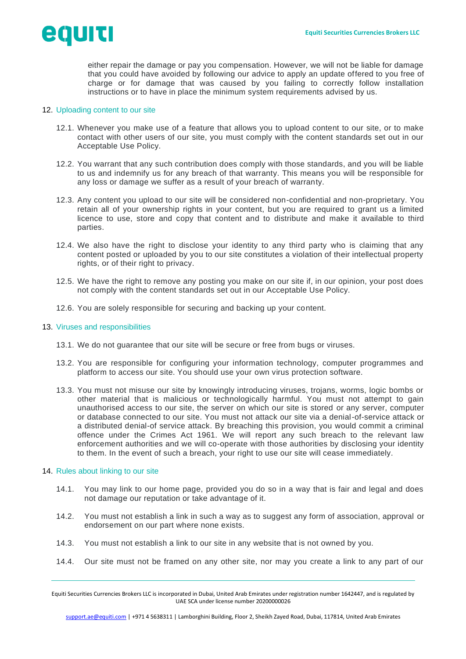

either repair the damage or pay you compensation. However, we will not be liable for damage that you could have avoided by following our advice to apply an update offered to you free of charge or for damage that was caused by you failing to correctly follow installation instructions or to have in place the minimum system requirements advised by us.

#### 12. Uploading content to our site

- 12.1. Whenever you make use of a feature that allows you to upload content to our site, or to make contact with other users of our site, you must comply with the content standards set out in our Acceptable Use Policy.
- 12.2. You warrant that any such contribution does comply with those standards, and you will be liable to us and indemnify us for any breach of that warranty. This means you will be responsible for any loss or damage we suffer as a result of your breach of warranty.
- 12.3. Any content you upload to our site will be considered non-confidential and non-proprietary. You retain all of your ownership rights in your content, but you are required to grant us a limited licence to use, store and copy that content and to distribute and make it available to third parties.
- 12.4. We also have the right to disclose your identity to any third party who is claiming that any content posted or uploaded by you to our site constitutes a violation of their intellectual property rights, or of their right to privacy.
- 12.5. We have the right to remove any posting you make on our site if, in our opinion, your post does not comply with the content standards set out in our Acceptable Use Policy.
- 12.6. You are solely responsible for securing and backing up your content.

#### 13. Viruses and responsibilities

- 13.1. We do not guarantee that our site will be secure or free from bugs or viruses.
- 13.2. You are responsible for configuring your information technology, computer programmes and platform to access our site. You should use your own virus protection software.
- 13.3. You must not misuse our site by knowingly introducing viruses, trojans, worms, logic bombs or other material that is malicious or technologically harmful. You must not attempt to gain unauthorised access to our site, the server on which our site is stored or any server, computer or database connected to our site. You must not attack our site via a denial-of-service attack or a distributed denial-of service attack. By breaching this provision, you would commit a criminal offence under the Crimes Act 1961. We will report any such breach to the relevant law enforcement authorities and we will co-operate with those authorities by disclosing your identity to them. In the event of such a breach, your right to use our site will cease immediately.

#### 14. Rules about linking to our site

- 14.1. You may link to our home page, provided you do so in a way that is fair and legal and does not damage our reputation or take advantage of it.
- 14.2. You must not establish a link in such a way as to suggest any form of association, approval or endorsement on our part where none exists.
- 14.3. You must not establish a link to our site in any website that is not owned by you.
- 14.4. Our site must not be framed on any other site, nor may you create a link to any part of our

Equiti Securities Currencies Brokers LLC is incorporated in Dubai, United Arab Emirates under registration number 1642447, and is regulated by UAE SCA under license number 20200000026